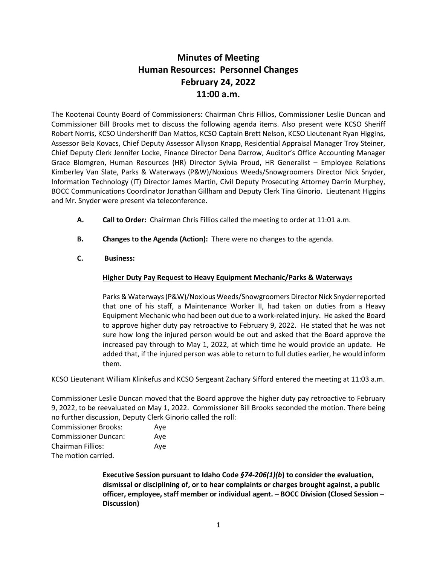# **Minutes of Meeting Human Resources: Personnel Changes February 24, 2022 11:00 a.m.**

The Kootenai County Board of Commissioners: Chairman Chris Fillios, Commissioner Leslie Duncan and Commissioner Bill Brooks met to discuss the following agenda items. Also present were KCSO Sheriff Robert Norris, KCSO Undersheriff Dan Mattos, KCSO Captain Brett Nelson, KCSO Lieutenant Ryan Higgins, Assessor Bela Kovacs, Chief Deputy Assessor Allyson Knapp, Residential Appraisal Manager Troy Steiner, Chief Deputy Clerk Jennifer Locke, Finance Director Dena Darrow, Auditor's Office Accounting Manager Grace Blomgren, Human Resources (HR) Director Sylvia Proud, HR Generalist – Employee Relations Kimberley Van Slate, Parks & Waterways (P&W)/Noxious Weeds/Snowgroomers Director Nick Snyder, Information Technology (IT) Director James Martin, Civil Deputy Prosecuting Attorney Darrin Murphey, BOCC Communications Coordinator Jonathan Gillham and Deputy Clerk Tina Ginorio. Lieutenant Higgins and Mr. Snyder were present via teleconference.

- **A. Call to Order:** Chairman Chris Fillios called the meeting to order at 11:01 a.m.
- **B. Changes to the Agenda (Action):** There were no changes to the agenda.
- **C. Business:**

# **Higher Duty Pay Request to Heavy Equipment Mechanic/Parks & Waterways**

Parks & Waterways (P&W)/Noxious Weeds/Snowgroomers Director Nick Snyder reported that one of his staff, a Maintenance Worker II, had taken on duties from a Heavy Equipment Mechanic who had been out due to a work-related injury. He asked the Board to approve higher duty pay retroactive to February 9, 2022. He stated that he was not sure how long the injured person would be out and asked that the Board approve the increased pay through to May 1, 2022, at which time he would provide an update. He added that, if the injured person was able to return to full duties earlier, he would inform them.

KCSO Lieutenant William Klinkefus and KCSO Sergeant Zachary Sifford entered the meeting at 11:03 a.m.

Commissioner Leslie Duncan moved that the Board approve the higher duty pay retroactive to February 9, 2022, to be reevaluated on May 1, 2022. Commissioner Bill Brooks seconded the motion. There being no further discussion, Deputy Clerk Ginorio called the roll:

| <b>Commissioner Brooks:</b> | Aye |
|-----------------------------|-----|
| <b>Commissioner Duncan:</b> | Ave |
| <b>Chairman Fillios:</b>    | Aye |
| The motion carried.         |     |

**Executive Session pursuant to Idaho Code** *§74-206(1)(b***) to consider the evaluation, dismissal or disciplining of, or to hear complaints or charges brought against, a public officer, employee, staff member or individual agent. – BOCC Division (Closed Session – Discussion)**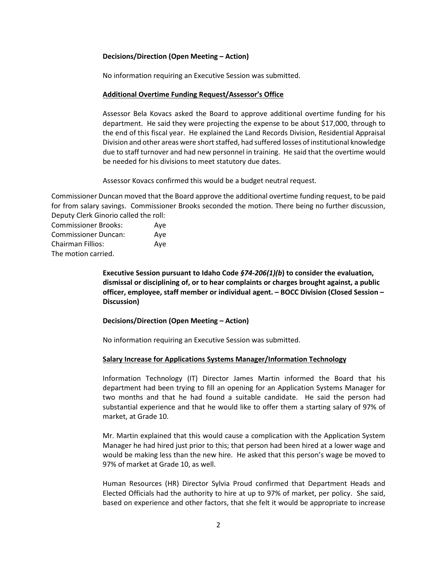## **Decisions/Direction (Open Meeting – Action)**

No information requiring an Executive Session was submitted.

## **Additional Overtime Funding Request/Assessor's Office**

Assessor Bela Kovacs asked the Board to approve additional overtime funding for his department. He said they were projecting the expense to be about \$17,000, through to the end of this fiscal year. He explained the Land Records Division, Residential Appraisal Division and other areas were short staffed, had suffered losses of institutional knowledge due to staff turnover and had new personnel in training. He said that the overtime would be needed for his divisions to meet statutory due dates.

Assessor Kovacs confirmed this would be a budget neutral request.

Commissioner Duncan moved that the Board approve the additional overtime funding request, to be paid for from salary savings. Commissioner Brooks seconded the motion. There being no further discussion, Deputy Clerk Ginorio called the roll:

Commissioner Brooks: Aye Commissioner Duncan: Aye Chairman Fillios: Aye The motion carried.

> **Executive Session pursuant to Idaho Code** *§74-206(1)(b***) to consider the evaluation, dismissal or disciplining of, or to hear complaints or charges brought against, a public officer, employee, staff member or individual agent. – BOCC Division (Closed Session – Discussion)**

### **Decisions/Direction (Open Meeting – Action)**

No information requiring an Executive Session was submitted.

### **Salary Increase for Applications Systems Manager/Information Technology**

Information Technology (IT) Director James Martin informed the Board that his department had been trying to fill an opening for an Application Systems Manager for two months and that he had found a suitable candidate. He said the person had substantial experience and that he would like to offer them a starting salary of 97% of market, at Grade 10.

Mr. Martin explained that this would cause a complication with the Application System Manager he had hired just prior to this; that person had been hired at a lower wage and would be making less than the new hire. He asked that this person's wage be moved to 97% of market at Grade 10, as well.

Human Resources (HR) Director Sylvia Proud confirmed that Department Heads and Elected Officials had the authority to hire at up to 97% of market, per policy. She said, based on experience and other factors, that she felt it would be appropriate to increase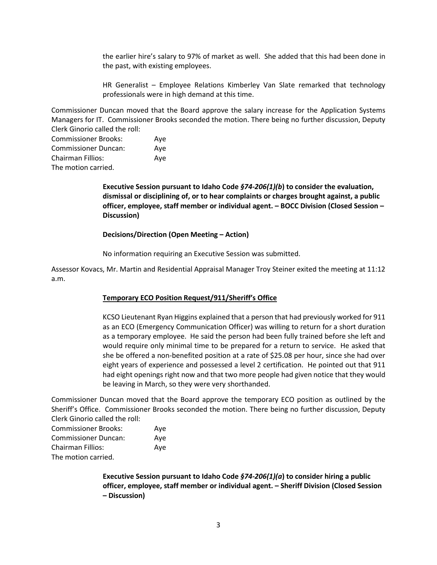the earlier hire's salary to 97% of market as well. She added that this had been done in the past, with existing employees.

HR Generalist – Employee Relations Kimberley Van Slate remarked that technology professionals were in high demand at this time.

Commissioner Duncan moved that the Board approve the salary increase for the Application Systems Managers for IT. Commissioner Brooks seconded the motion. There being no further discussion, Deputy Clerk Ginorio called the roll:

| <b>Commissioner Brooks:</b> | Ave |
|-----------------------------|-----|
| <b>Commissioner Duncan:</b> | Ave |
| <b>Chairman Fillios:</b>    | Ave |
| The motion carried.         |     |

**Executive Session pursuant to Idaho Code** *§74-206(1)(b***) to consider the evaluation, dismissal or disciplining of, or to hear complaints or charges brought against, a public officer, employee, staff member or individual agent. – BOCC Division (Closed Session – Discussion)**

## **Decisions/Direction (Open Meeting – Action)**

No information requiring an Executive Session was submitted.

Assessor Kovacs, Mr. Martin and Residential Appraisal Manager Troy Steiner exited the meeting at 11:12 a.m.

### **Temporary ECO Position Request/911/Sheriff's Office**

KCSO Lieutenant Ryan Higgins explained that a person that had previously worked for 911 as an ECO (Emergency Communication Officer) was willing to return for a short duration as a temporary employee. He said the person had been fully trained before she left and would require only minimal time to be prepared for a return to service. He asked that she be offered a non-benefited position at a rate of \$25.08 per hour, since she had over eight years of experience and possessed a level 2 certification. He pointed out that 911 had eight openings right now and that two more people had given notice that they would be leaving in March, so they were very shorthanded.

Commissioner Duncan moved that the Board approve the temporary ECO position as outlined by the Sheriff's Office. Commissioner Brooks seconded the motion. There being no further discussion, Deputy Clerk Ginorio called the roll:

| <b>Commissioner Brooks:</b> | Ave |
|-----------------------------|-----|
| <b>Commissioner Duncan:</b> | Ave |
| <b>Chairman Fillios:</b>    | Ave |
| The motion carried.         |     |

**Executive Session pursuant to Idaho Code** *§74-206(1)(a***) to consider hiring a public officer, employee, staff member or individual agent. – Sheriff Division (Closed Session – Discussion)**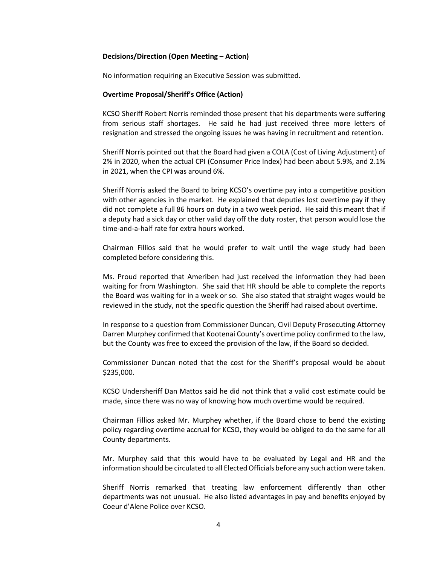#### **Decisions/Direction (Open Meeting – Action)**

No information requiring an Executive Session was submitted.

#### **Overtime Proposal/Sheriff's Office (Action)**

KCSO Sheriff Robert Norris reminded those present that his departments were suffering from serious staff shortages. He said he had just received three more letters of resignation and stressed the ongoing issues he was having in recruitment and retention.

Sheriff Norris pointed out that the Board had given a COLA (Cost of Living Adjustment) of 2% in 2020, when the actual CPI (Consumer Price Index) had been about 5.9%, and 2.1% in 2021, when the CPI was around 6%.

Sheriff Norris asked the Board to bring KCSO's overtime pay into a competitive position with other agencies in the market. He explained that deputies lost overtime pay if they did not complete a full 86 hours on duty in a two week period. He said this meant that if a deputy had a sick day or other valid day off the duty roster, that person would lose the time-and-a-half rate for extra hours worked.

Chairman Fillios said that he would prefer to wait until the wage study had been completed before considering this.

Ms. Proud reported that Ameriben had just received the information they had been waiting for from Washington. She said that HR should be able to complete the reports the Board was waiting for in a week or so. She also stated that straight wages would be reviewed in the study, not the specific question the Sheriff had raised about overtime.

In response to a question from Commissioner Duncan, Civil Deputy Prosecuting Attorney Darren Murphey confirmed that Kootenai County's overtime policy confirmed to the law, but the County was free to exceed the provision of the law, if the Board so decided.

Commissioner Duncan noted that the cost for the Sheriff's proposal would be about \$235,000.

KCSO Undersheriff Dan Mattos said he did not think that a valid cost estimate could be made, since there was no way of knowing how much overtime would be required.

Chairman Fillios asked Mr. Murphey whether, if the Board chose to bend the existing policy regarding overtime accrual for KCSO, they would be obliged to do the same for all County departments.

Mr. Murphey said that this would have to be evaluated by Legal and HR and the information should be circulated to all Elected Officials before any such action were taken.

Sheriff Norris remarked that treating law enforcement differently than other departments was not unusual. He also listed advantages in pay and benefits enjoyed by Coeur d'Alene Police over KCSO.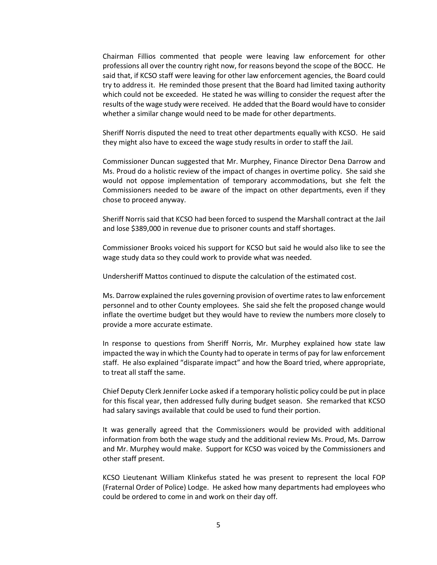Chairman Fillios commented that people were leaving law enforcement for other professions all over the country right now, for reasons beyond the scope of the BOCC. He said that, if KCSO staff were leaving for other law enforcement agencies, the Board could try to address it. He reminded those present that the Board had limited taxing authority which could not be exceeded. He stated he was willing to consider the request after the results of the wage study were received. He added that the Board would have to consider whether a similar change would need to be made for other departments.

Sheriff Norris disputed the need to treat other departments equally with KCSO. He said they might also have to exceed the wage study results in order to staff the Jail.

Commissioner Duncan suggested that Mr. Murphey, Finance Director Dena Darrow and Ms. Proud do a holistic review of the impact of changes in overtime policy. She said she would not oppose implementation of temporary accommodations, but she felt the Commissioners needed to be aware of the impact on other departments, even if they chose to proceed anyway.

Sheriff Norris said that KCSO had been forced to suspend the Marshall contract at the Jail and lose \$389,000 in revenue due to prisoner counts and staff shortages.

Commissioner Brooks voiced his support for KCSO but said he would also like to see the wage study data so they could work to provide what was needed.

Undersheriff Mattos continued to dispute the calculation of the estimated cost.

Ms. Darrow explained the rules governing provision of overtime rates to law enforcement personnel and to other County employees. She said she felt the proposed change would inflate the overtime budget but they would have to review the numbers more closely to provide a more accurate estimate.

In response to questions from Sheriff Norris, Mr. Murphey explained how state law impacted the way in which the County had to operate in terms of pay for law enforcement staff. He also explained "disparate impact" and how the Board tried, where appropriate, to treat all staff the same.

Chief Deputy Clerk Jennifer Locke asked if a temporary holistic policy could be put in place for this fiscal year, then addressed fully during budget season. She remarked that KCSO had salary savings available that could be used to fund their portion.

It was generally agreed that the Commissioners would be provided with additional information from both the wage study and the additional review Ms. Proud, Ms. Darrow and Mr. Murphey would make. Support for KCSO was voiced by the Commissioners and other staff present.

KCSO Lieutenant William Klinkefus stated he was present to represent the local FOP (Fraternal Order of Police) Lodge. He asked how many departments had employees who could be ordered to come in and work on their day off.